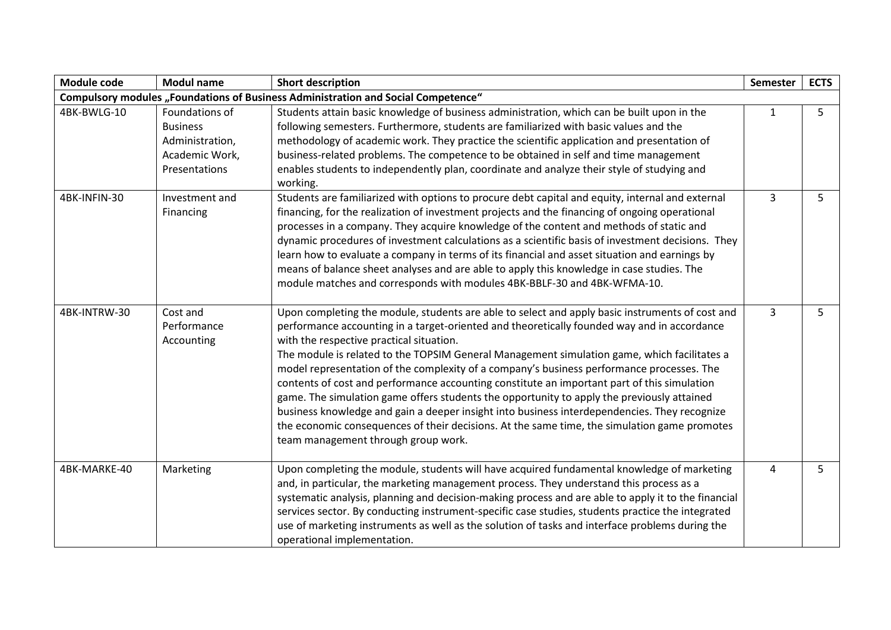| Module code  | <b>Modul name</b>                                                                       | <b>Short description</b>                                                                                                                                                                                                                                                                                                                                                                                                                                                                                                                                                                                                                                                                                                                                                                                                                                                   | <b>Semester</b> | <b>ECTS</b> |
|--------------|-----------------------------------------------------------------------------------------|----------------------------------------------------------------------------------------------------------------------------------------------------------------------------------------------------------------------------------------------------------------------------------------------------------------------------------------------------------------------------------------------------------------------------------------------------------------------------------------------------------------------------------------------------------------------------------------------------------------------------------------------------------------------------------------------------------------------------------------------------------------------------------------------------------------------------------------------------------------------------|-----------------|-------------|
|              |                                                                                         | <b>Compulsory modules "Foundations of Business Administration and Social Competence"</b>                                                                                                                                                                                                                                                                                                                                                                                                                                                                                                                                                                                                                                                                                                                                                                                   |                 |             |
| 4BK-BWLG-10  | Foundations of<br><b>Business</b><br>Administration,<br>Academic Work,<br>Presentations | Students attain basic knowledge of business administration, which can be built upon in the<br>following semesters. Furthermore, students are familiarized with basic values and the<br>methodology of academic work. They practice the scientific application and presentation of<br>business-related problems. The competence to be obtained in self and time management<br>enables students to independently plan, coordinate and analyze their style of studying and<br>working.                                                                                                                                                                                                                                                                                                                                                                                        | $\mathbf{1}$    | 5           |
| 4BK-INFIN-30 | Investment and<br>Financing                                                             | Students are familiarized with options to procure debt capital and equity, internal and external<br>financing, for the realization of investment projects and the financing of ongoing operational<br>processes in a company. They acquire knowledge of the content and methods of static and<br>dynamic procedures of investment calculations as a scientific basis of investment decisions. They<br>learn how to evaluate a company in terms of its financial and asset situation and earnings by<br>means of balance sheet analyses and are able to apply this knowledge in case studies. The<br>module matches and corresponds with modules 4BK-BBLF-30 and 4BK-WFMA-10.                                                                                                                                                                                               | 3               | 5           |
| 4BK-INTRW-30 | Cost and<br>Performance<br>Accounting                                                   | Upon completing the module, students are able to select and apply basic instruments of cost and<br>performance accounting in a target-oriented and theoretically founded way and in accordance<br>with the respective practical situation.<br>The module is related to the TOPSIM General Management simulation game, which facilitates a<br>model representation of the complexity of a company's business performance processes. The<br>contents of cost and performance accounting constitute an important part of this simulation<br>game. The simulation game offers students the opportunity to apply the previously attained<br>business knowledge and gain a deeper insight into business interdependencies. They recognize<br>the economic consequences of their decisions. At the same time, the simulation game promotes<br>team management through group work. | 3               | 5           |
| 4BK-MARKE-40 | Marketing                                                                               | Upon completing the module, students will have acquired fundamental knowledge of marketing<br>and, in particular, the marketing management process. They understand this process as a<br>systematic analysis, planning and decision-making process and are able to apply it to the financial<br>services sector. By conducting instrument-specific case studies, students practice the integrated<br>use of marketing instruments as well as the solution of tasks and interface problems during the<br>operational implementation.                                                                                                                                                                                                                                                                                                                                        | 4               | 5           |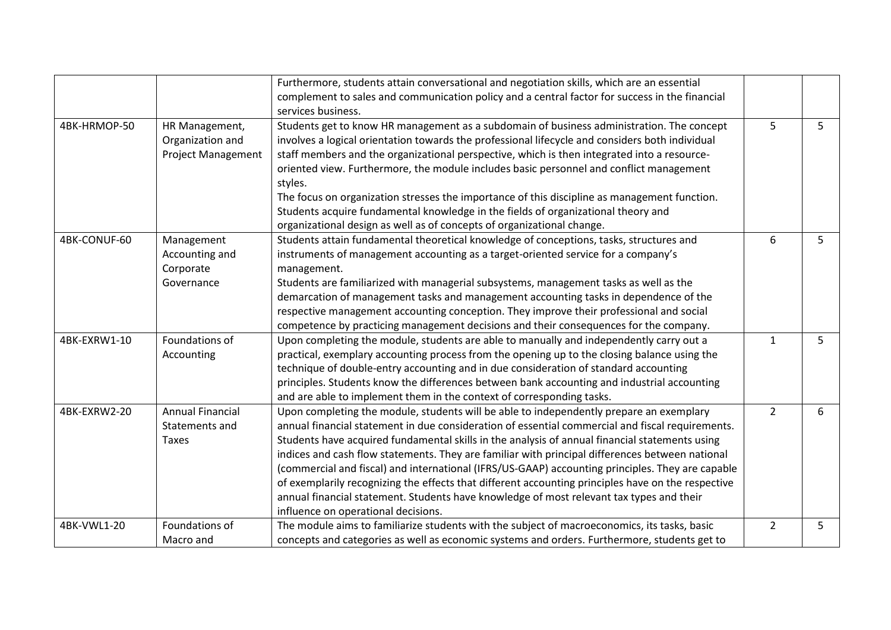|              |                           | Furthermore, students attain conversational and negotiation skills, which are an essential         |                |   |
|--------------|---------------------------|----------------------------------------------------------------------------------------------------|----------------|---|
|              |                           | complement to sales and communication policy and a central factor for success in the financial     |                |   |
|              |                           | services business.                                                                                 |                |   |
| 4BK-HRMOP-50 | HR Management,            | Students get to know HR management as a subdomain of business administration. The concept          | 5              | 5 |
|              | Organization and          | involves a logical orientation towards the professional lifecycle and considers both individual    |                |   |
|              | <b>Project Management</b> | staff members and the organizational perspective, which is then integrated into a resource-        |                |   |
|              |                           | oriented view. Furthermore, the module includes basic personnel and conflict management            |                |   |
|              |                           | styles.                                                                                            |                |   |
|              |                           | The focus on organization stresses the importance of this discipline as management function.       |                |   |
|              |                           | Students acquire fundamental knowledge in the fields of organizational theory and                  |                |   |
|              |                           | organizational design as well as of concepts of organizational change.                             |                |   |
| 4BK-CONUF-60 | Management                | Students attain fundamental theoretical knowledge of conceptions, tasks, structures and            | 6              | 5 |
|              | Accounting and            | instruments of management accounting as a target-oriented service for a company's                  |                |   |
|              | Corporate                 | management.                                                                                        |                |   |
|              | Governance                | Students are familiarized with managerial subsystems, management tasks as well as the              |                |   |
|              |                           | demarcation of management tasks and management accounting tasks in dependence of the               |                |   |
|              |                           | respective management accounting conception. They improve their professional and social            |                |   |
|              |                           | competence by practicing management decisions and their consequences for the company.              |                |   |
| 4BK-EXRW1-10 | Foundations of            | Upon completing the module, students are able to manually and independently carry out a            | $\mathbf{1}$   | 5 |
|              | Accounting                | practical, exemplary accounting process from the opening up to the closing balance using the       |                |   |
|              |                           | technique of double-entry accounting and in due consideration of standard accounting               |                |   |
|              |                           | principles. Students know the differences between bank accounting and industrial accounting        |                |   |
|              |                           | and are able to implement them in the context of corresponding tasks.                              |                |   |
| 4BK-EXRW2-20 | <b>Annual Financial</b>   | Upon completing the module, students will be able to independently prepare an exemplary            | $\overline{2}$ | 6 |
|              | Statements and            | annual financial statement in due consideration of essential commercial and fiscal requirements.   |                |   |
|              | Taxes                     | Students have acquired fundamental skills in the analysis of annual financial statements using     |                |   |
|              |                           | indices and cash flow statements. They are familiar with principal differences between national    |                |   |
|              |                           | (commercial and fiscal) and international (IFRS/US-GAAP) accounting principles. They are capable   |                |   |
|              |                           | of exemplarily recognizing the effects that different accounting principles have on the respective |                |   |
|              |                           | annual financial statement. Students have knowledge of most relevant tax types and their           |                |   |
|              |                           | influence on operational decisions.                                                                |                |   |
| 4BK-VWL1-20  | Foundations of            | The module aims to familiarize students with the subject of macroeconomics, its tasks, basic       | $\overline{2}$ | 5 |
|              | Macro and                 | concepts and categories as well as economic systems and orders. Furthermore, students get to       |                |   |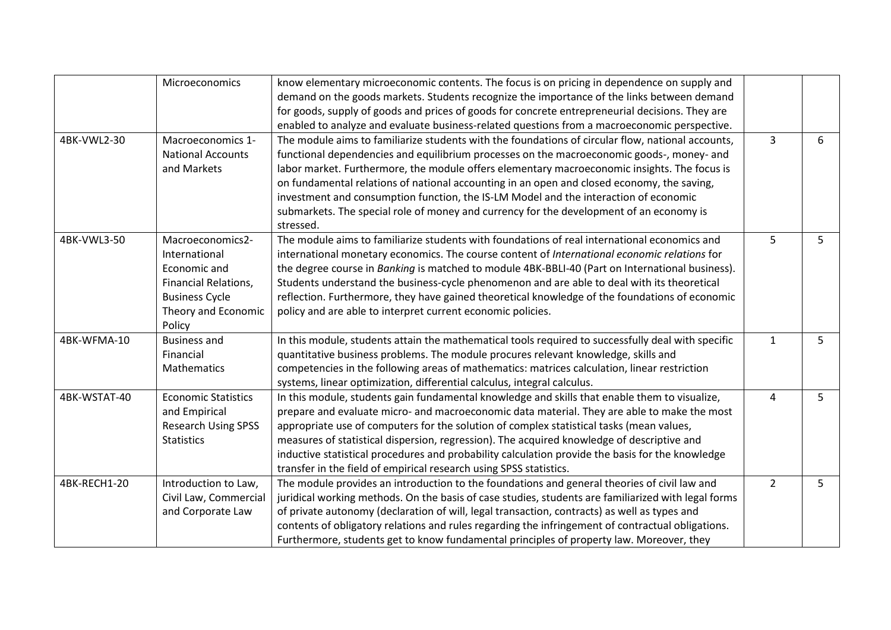|              | Microeconomics              | know elementary microeconomic contents. The focus is on pricing in dependence on supply and         |                |   |
|--------------|-----------------------------|-----------------------------------------------------------------------------------------------------|----------------|---|
|              |                             | demand on the goods markets. Students recognize the importance of the links between demand          |                |   |
|              |                             | for goods, supply of goods and prices of goods for concrete entrepreneurial decisions. They are     |                |   |
|              |                             | enabled to analyze and evaluate business-related questions from a macroeconomic perspective.        |                |   |
| 4BK-VWL2-30  | Macroeconomics 1-           | The module aims to familiarize students with the foundations of circular flow, national accounts,   | 3              | 6 |
|              | <b>National Accounts</b>    | functional dependencies and equilibrium processes on the macroeconomic goods-, money- and           |                |   |
|              | and Markets                 | labor market. Furthermore, the module offers elementary macroeconomic insights. The focus is        |                |   |
|              |                             | on fundamental relations of national accounting in an open and closed economy, the saving,          |                |   |
|              |                             | investment and consumption function, the IS-LM Model and the interaction of economic                |                |   |
|              |                             | submarkets. The special role of money and currency for the development of an economy is             |                |   |
|              |                             | stressed.                                                                                           |                |   |
| 4BK-VWL3-50  | Macroeconomics2-            | The module aims to familiarize students with foundations of real international economics and        | 5              | 5 |
|              | International               | international monetary economics. The course content of International economic relations for        |                |   |
|              | Economic and                | the degree course in Banking is matched to module 4BK-BBLI-40 (Part on International business).     |                |   |
|              | <b>Financial Relations,</b> | Students understand the business-cycle phenomenon and are able to deal with its theoretical         |                |   |
|              | <b>Business Cycle</b>       | reflection. Furthermore, they have gained theoretical knowledge of the foundations of economic      |                |   |
|              | Theory and Economic         | policy and are able to interpret current economic policies.                                         |                |   |
|              | Policy                      |                                                                                                     |                |   |
| 4BK-WFMA-10  | <b>Business and</b>         | In this module, students attain the mathematical tools required to successfully deal with specific  | $\mathbf{1}$   | 5 |
|              | Financial                   | quantitative business problems. The module procures relevant knowledge, skills and                  |                |   |
|              | Mathematics                 | competencies in the following areas of mathematics: matrices calculation, linear restriction        |                |   |
|              |                             | systems, linear optimization, differential calculus, integral calculus.                             |                |   |
| 4BK-WSTAT-40 | <b>Economic Statistics</b>  | In this module, students gain fundamental knowledge and skills that enable them to visualize,       | 4              | 5 |
|              | and Empirical               | prepare and evaluate micro- and macroeconomic data material. They are able to make the most         |                |   |
|              | <b>Research Using SPSS</b>  | appropriate use of computers for the solution of complex statistical tasks (mean values,            |                |   |
|              | <b>Statistics</b>           | measures of statistical dispersion, regression). The acquired knowledge of descriptive and          |                |   |
|              |                             | inductive statistical procedures and probability calculation provide the basis for the knowledge    |                |   |
|              |                             | transfer in the field of empirical research using SPSS statistics.                                  |                |   |
| 4BK-RECH1-20 | Introduction to Law,        | The module provides an introduction to the foundations and general theories of civil law and        | $\overline{2}$ | 5 |
|              | Civil Law, Commercial       | juridical working methods. On the basis of case studies, students are familiarized with legal forms |                |   |
|              | and Corporate Law           | of private autonomy (declaration of will, legal transaction, contracts) as well as types and        |                |   |
|              |                             | contents of obligatory relations and rules regarding the infringement of contractual obligations.   |                |   |
|              |                             | Furthermore, students get to know fundamental principles of property law. Moreover, they            |                |   |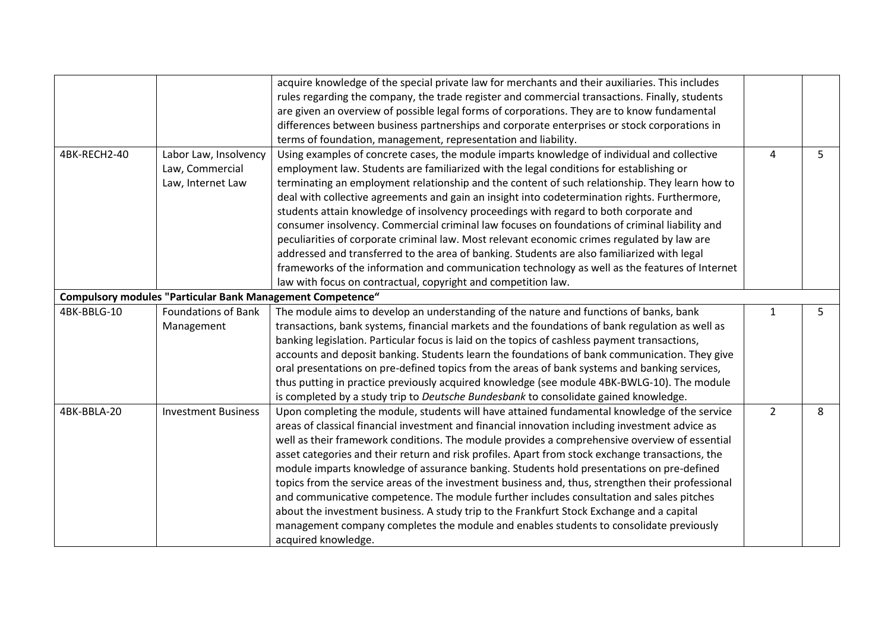|              |                                                                   | acquire knowledge of the special private law for merchants and their auxiliaries. This includes<br>rules regarding the company, the trade register and commercial transactions. Finally, students<br>are given an overview of possible legal forms of corporations. They are to know fundamental<br>differences between business partnerships and corporate enterprises or stock corporations in                                                                                                                                                                                                                                                                                                                                                                                                                                                                                                                 |                |    |
|--------------|-------------------------------------------------------------------|------------------------------------------------------------------------------------------------------------------------------------------------------------------------------------------------------------------------------------------------------------------------------------------------------------------------------------------------------------------------------------------------------------------------------------------------------------------------------------------------------------------------------------------------------------------------------------------------------------------------------------------------------------------------------------------------------------------------------------------------------------------------------------------------------------------------------------------------------------------------------------------------------------------|----------------|----|
|              |                                                                   | terms of foundation, management, representation and liability.                                                                                                                                                                                                                                                                                                                                                                                                                                                                                                                                                                                                                                                                                                                                                                                                                                                   |                |    |
| 4BK-RECH2-40 | Labor Law, Insolvency<br>Law, Commercial<br>Law, Internet Law     | Using examples of concrete cases, the module imparts knowledge of individual and collective<br>employment law. Students are familiarized with the legal conditions for establishing or<br>terminating an employment relationship and the content of such relationship. They learn how to<br>deal with collective agreements and gain an insight into codetermination rights. Furthermore,<br>students attain knowledge of insolvency proceedings with regard to both corporate and<br>consumer insolvency. Commercial criminal law focuses on foundations of criminal liability and<br>peculiarities of corporate criminal law. Most relevant economic crimes regulated by law are<br>addressed and transferred to the area of banking. Students are also familiarized with legal<br>frameworks of the information and communication technology as well as the features of Internet                              | 4              | 5  |
|              | <b>Compulsory modules "Particular Bank Management Competence"</b> | law with focus on contractual, copyright and competition law.                                                                                                                                                                                                                                                                                                                                                                                                                                                                                                                                                                                                                                                                                                                                                                                                                                                    |                |    |
| 4BK-BBLG-10  | <b>Foundations of Bank</b>                                        |                                                                                                                                                                                                                                                                                                                                                                                                                                                                                                                                                                                                                                                                                                                                                                                                                                                                                                                  |                | 5. |
|              | Management                                                        | The module aims to develop an understanding of the nature and functions of banks, bank<br>transactions, bank systems, financial markets and the foundations of bank regulation as well as<br>banking legislation. Particular focus is laid on the topics of cashless payment transactions,<br>accounts and deposit banking. Students learn the foundations of bank communication. They give<br>oral presentations on pre-defined topics from the areas of bank systems and banking services,<br>thus putting in practice previously acquired knowledge (see module 4BK-BWLG-10). The module<br>is completed by a study trip to Deutsche Bundesbank to consolidate gained knowledge.                                                                                                                                                                                                                              | 1              |    |
| 4BK-BBLA-20  | <b>Investment Business</b>                                        | Upon completing the module, students will have attained fundamental knowledge of the service<br>areas of classical financial investment and financial innovation including investment advice as<br>well as their framework conditions. The module provides a comprehensive overview of essential<br>asset categories and their return and risk profiles. Apart from stock exchange transactions, the<br>module imparts knowledge of assurance banking. Students hold presentations on pre-defined<br>topics from the service areas of the investment business and, thus, strengthen their professional<br>and communicative competence. The module further includes consultation and sales pitches<br>about the investment business. A study trip to the Frankfurt Stock Exchange and a capital<br>management company completes the module and enables students to consolidate previously<br>acquired knowledge. | $\overline{2}$ | 8  |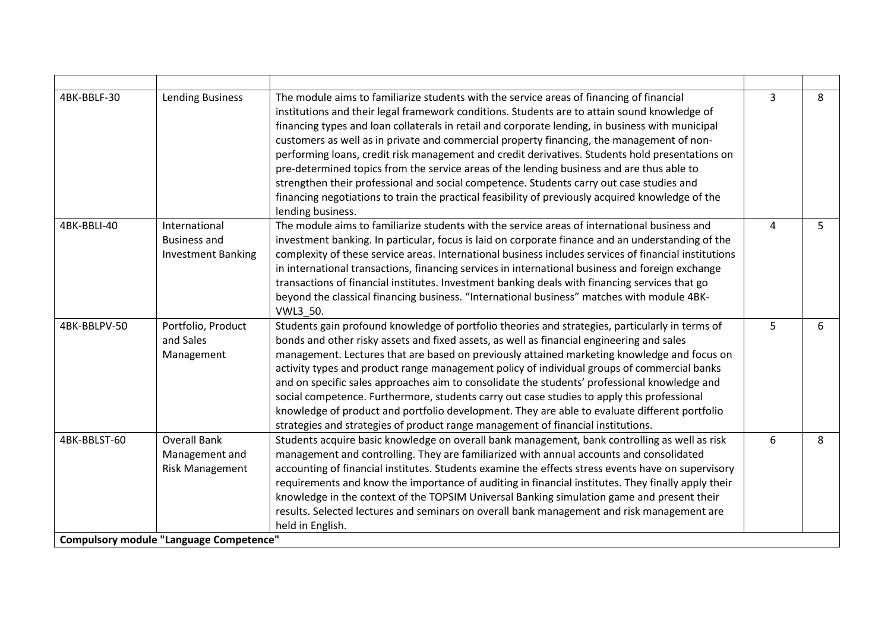| 4BK-BBLF-30  | <b>Lending Business</b>                                                                                           | The module aims to familiarize students with the service areas of financing of financial<br>institutions and their legal framework conditions. Students are to attain sound knowledge of<br>financing types and loan collaterals in retail and corporate lending, in business with municipal<br>customers as well as in private and commercial property financing, the management of non-<br>performing loans, credit risk management and credit derivatives. Students hold presentations on<br>pre-determined topics from the service areas of the lending business and are thus able to<br>strengthen their professional and social competence. Students carry out case studies and<br>financing negotiations to train the practical feasibility of previously acquired knowledge of the<br>lending business. | $\overline{3}$ | 8 |
|--------------|-------------------------------------------------------------------------------------------------------------------|-----------------------------------------------------------------------------------------------------------------------------------------------------------------------------------------------------------------------------------------------------------------------------------------------------------------------------------------------------------------------------------------------------------------------------------------------------------------------------------------------------------------------------------------------------------------------------------------------------------------------------------------------------------------------------------------------------------------------------------------------------------------------------------------------------------------|----------------|---|
| 4BK-BBLI-40  | International<br><b>Business and</b><br><b>Investment Banking</b>                                                 | The module aims to familiarize students with the service areas of international business and<br>investment banking. In particular, focus is laid on corporate finance and an understanding of the<br>complexity of these service areas. International business includes services of financial institutions<br>in international transactions, financing services in international business and foreign exchange<br>transactions of financial institutes. Investment banking deals with financing services that go<br>beyond the classical financing business. "International business" matches with module 4BK-<br>VWL3 50.                                                                                                                                                                                      | 4              | 5 |
| 4BK-BBLPV-50 | Portfolio, Product<br>and Sales<br>Management                                                                     | Students gain profound knowledge of portfolio theories and strategies, particularly in terms of<br>bonds and other risky assets and fixed assets, as well as financial engineering and sales<br>management. Lectures that are based on previously attained marketing knowledge and focus on<br>activity types and product range management policy of individual groups of commercial banks<br>and on specific sales approaches aim to consolidate the students' professional knowledge and<br>social competence. Furthermore, students carry out case studies to apply this professional<br>knowledge of product and portfolio development. They are able to evaluate different portfolio<br>strategies and strategies of product range management of financial institutions.                                   | 5              | 6 |
| 4BK-BBLST-60 | <b>Overall Bank</b><br>Management and<br><b>Risk Management</b><br><b>Compulsory module "Language Competence"</b> | Students acquire basic knowledge on overall bank management, bank controlling as well as risk<br>management and controlling. They are familiarized with annual accounts and consolidated<br>accounting of financial institutes. Students examine the effects stress events have on supervisory<br>requirements and know the importance of auditing in financial institutes. They finally apply their<br>knowledge in the context of the TOPSIM Universal Banking simulation game and present their<br>results. Selected lectures and seminars on overall bank management and risk management are<br>held in English.                                                                                                                                                                                            | 6              | 8 |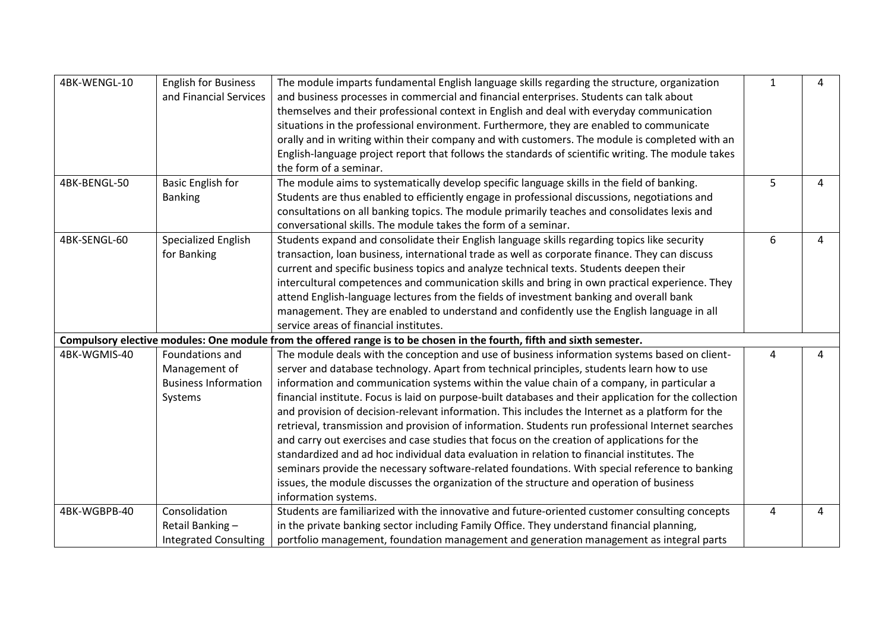| 4BK-WENGL-10 | <b>English for Business</b>  | The module imparts fundamental English language skills regarding the structure, organization                            | $\mathbf{1}$ | 4 |
|--------------|------------------------------|-------------------------------------------------------------------------------------------------------------------------|--------------|---|
|              | and Financial Services       | and business processes in commercial and financial enterprises. Students can talk about                                 |              |   |
|              |                              | themselves and their professional context in English and deal with everyday communication                               |              |   |
|              |                              | situations in the professional environment. Furthermore, they are enabled to communicate                                |              |   |
|              |                              | orally and in writing within their company and with customers. The module is completed with an                          |              |   |
|              |                              | English-language project report that follows the standards of scientific writing. The module takes                      |              |   |
|              |                              | the form of a seminar.                                                                                                  |              |   |
| 4BK-BENGL-50 | <b>Basic English for</b>     | The module aims to systematically develop specific language skills in the field of banking.                             | 5            | 4 |
|              | <b>Banking</b>               | Students are thus enabled to efficiently engage in professional discussions, negotiations and                           |              |   |
|              |                              | consultations on all banking topics. The module primarily teaches and consolidates lexis and                            |              |   |
|              |                              | conversational skills. The module takes the form of a seminar.                                                          |              |   |
| 4BK-SENGL-60 | Specialized English          | Students expand and consolidate their English language skills regarding topics like security                            | 6            | 4 |
|              | for Banking                  | transaction, loan business, international trade as well as corporate finance. They can discuss                          |              |   |
|              |                              | current and specific business topics and analyze technical texts. Students deepen their                                 |              |   |
|              |                              | intercultural competences and communication skills and bring in own practical experience. They                          |              |   |
|              |                              | attend English-language lectures from the fields of investment banking and overall bank                                 |              |   |
|              |                              | management. They are enabled to understand and confidently use the English language in all                              |              |   |
|              |                              | service areas of financial institutes.                                                                                  |              |   |
|              |                              | Compulsory elective modules: One module from the offered range is to be chosen in the fourth, fifth and sixth semester. |              |   |
| 4BK-WGMIS-40 | Foundations and              | The module deals with the conception and use of business information systems based on client-                           | 4            | 4 |
|              | Management of                | server and database technology. Apart from technical principles, students learn how to use                              |              |   |
|              | <b>Business Information</b>  | information and communication systems within the value chain of a company, in particular a                              |              |   |
|              | Systems                      | financial institute. Focus is laid on purpose-built databases and their application for the collection                  |              |   |
|              |                              | and provision of decision-relevant information. This includes the Internet as a platform for the                        |              |   |
|              |                              | retrieval, transmission and provision of information. Students run professional Internet searches                       |              |   |
|              |                              | and carry out exercises and case studies that focus on the creation of applications for the                             |              |   |
|              |                              | standardized and ad hoc individual data evaluation in relation to financial institutes. The                             |              |   |
|              |                              | seminars provide the necessary software-related foundations. With special reference to banking                          |              |   |
|              |                              | issues, the module discusses the organization of the structure and operation of business                                |              |   |
|              |                              | information systems.                                                                                                    |              |   |
| 4BK-WGBPB-40 | Consolidation                | Students are familiarized with the innovative and future-oriented customer consulting concepts                          | 4            | 4 |
|              | Retail Banking-              | in the private banking sector including Family Office. They understand financial planning,                              |              |   |
|              | <b>Integrated Consulting</b> | portfolio management, foundation management and generation management as integral parts                                 |              |   |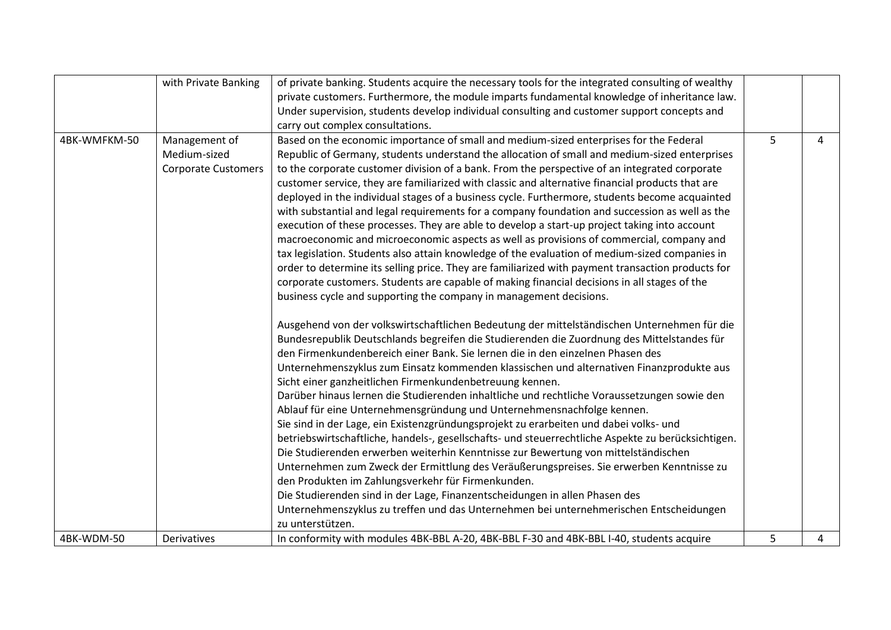|              | with Private Banking       | of private banking. Students acquire the necessary tools for the integrated consulting of wealthy  |   |   |
|--------------|----------------------------|----------------------------------------------------------------------------------------------------|---|---|
|              |                            | private customers. Furthermore, the module imparts fundamental knowledge of inheritance law.       |   |   |
|              |                            | Under supervision, students develop individual consulting and customer support concepts and        |   |   |
|              |                            | carry out complex consultations.                                                                   |   |   |
| 4BK-WMFKM-50 | Management of              | Based on the economic importance of small and medium-sized enterprises for the Federal             | 5 | 4 |
|              | Medium-sized               | Republic of Germany, students understand the allocation of small and medium-sized enterprises      |   |   |
|              | <b>Corporate Customers</b> | to the corporate customer division of a bank. From the perspective of an integrated corporate      |   |   |
|              |                            | customer service, they are familiarized with classic and alternative financial products that are   |   |   |
|              |                            | deployed in the individual stages of a business cycle. Furthermore, students become acquainted     |   |   |
|              |                            | with substantial and legal requirements for a company foundation and succession as well as the     |   |   |
|              |                            | execution of these processes. They are able to develop a start-up project taking into account      |   |   |
|              |                            | macroeconomic and microeconomic aspects as well as provisions of commercial, company and           |   |   |
|              |                            | tax legislation. Students also attain knowledge of the evaluation of medium-sized companies in     |   |   |
|              |                            | order to determine its selling price. They are familiarized with payment transaction products for  |   |   |
|              |                            | corporate customers. Students are capable of making financial decisions in all stages of the       |   |   |
|              |                            | business cycle and supporting the company in management decisions.                                 |   |   |
|              |                            | Ausgehend von der volkswirtschaftlichen Bedeutung der mittelständischen Unternehmen für die        |   |   |
|              |                            | Bundesrepublik Deutschlands begreifen die Studierenden die Zuordnung des Mittelstandes für         |   |   |
|              |                            | den Firmenkundenbereich einer Bank. Sie lernen die in den einzelnen Phasen des                     |   |   |
|              |                            | Unternehmenszyklus zum Einsatz kommenden klassischen und alternativen Finanzprodukte aus           |   |   |
|              |                            | Sicht einer ganzheitlichen Firmenkundenbetreuung kennen.                                           |   |   |
|              |                            | Darüber hinaus lernen die Studierenden inhaltliche und rechtliche Voraussetzungen sowie den        |   |   |
|              |                            | Ablauf für eine Unternehmensgründung und Unternehmensnachfolge kennen.                             |   |   |
|              |                            | Sie sind in der Lage, ein Existenzgründungsprojekt zu erarbeiten und dabei volks- und              |   |   |
|              |                            | betriebswirtschaftliche, handels-, gesellschafts- und steuerrechtliche Aspekte zu berücksichtigen. |   |   |
|              |                            | Die Studierenden erwerben weiterhin Kenntnisse zur Bewertung von mittelständischen                 |   |   |
|              |                            | Unternehmen zum Zweck der Ermittlung des Veräußerungspreises. Sie erwerben Kenntnisse zu           |   |   |
|              |                            | den Produkten im Zahlungsverkehr für Firmenkunden.                                                 |   |   |
|              |                            | Die Studierenden sind in der Lage, Finanzentscheidungen in allen Phasen des                        |   |   |
|              |                            | Unternehmenszyklus zu treffen und das Unternehmen bei unternehmerischen Entscheidungen             |   |   |
|              |                            | zu unterstützen.                                                                                   |   |   |
| 4BK-WDM-50   | Derivatives                | In conformity with modules 4BK-BBL A-20, 4BK-BBL F-30 and 4BK-BBL I-40, students acquire           | 5 | 4 |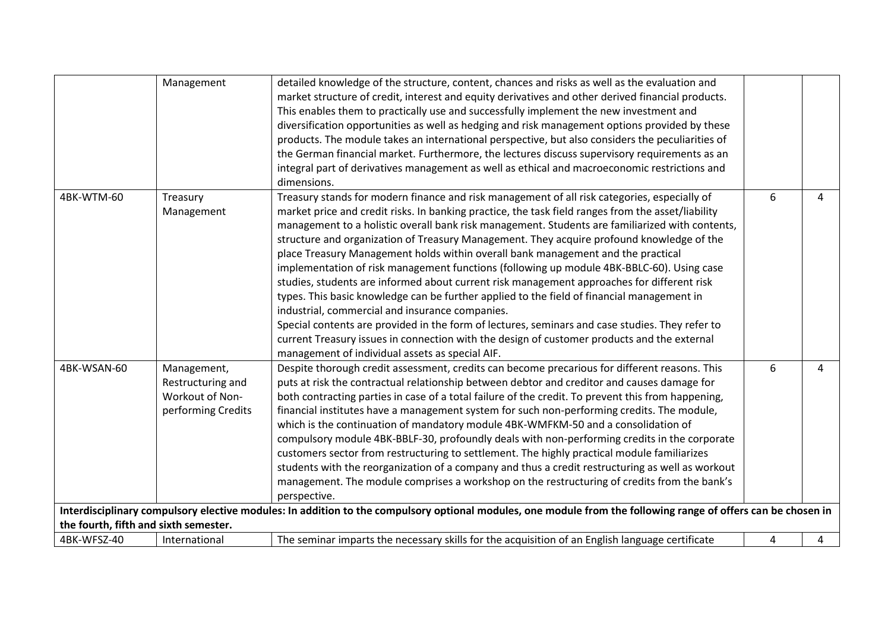|                                                      | Management                                                                | detailed knowledge of the structure, content, chances and risks as well as the evaluation and<br>market structure of credit, interest and equity derivatives and other derived financial products.<br>This enables them to practically use and successfully implement the new investment and<br>diversification opportunities as well as hedging and risk management options provided by these<br>products. The module takes an international perspective, but also considers the peculiarities of<br>the German financial market. Furthermore, the lectures discuss supervisory requirements as an<br>integral part of derivatives management as well as ethical and macroeconomic restrictions and<br>dimensions.                                                                                                                                                                                                                                                                                                                                                                     |   |   |
|------------------------------------------------------|---------------------------------------------------------------------------|-----------------------------------------------------------------------------------------------------------------------------------------------------------------------------------------------------------------------------------------------------------------------------------------------------------------------------------------------------------------------------------------------------------------------------------------------------------------------------------------------------------------------------------------------------------------------------------------------------------------------------------------------------------------------------------------------------------------------------------------------------------------------------------------------------------------------------------------------------------------------------------------------------------------------------------------------------------------------------------------------------------------------------------------------------------------------------------------|---|---|
| 4BK-WTM-60                                           | Treasury<br>Management                                                    | Treasury stands for modern finance and risk management of all risk categories, especially of<br>market price and credit risks. In banking practice, the task field ranges from the asset/liability<br>management to a holistic overall bank risk management. Students are familiarized with contents,<br>structure and organization of Treasury Management. They acquire profound knowledge of the<br>place Treasury Management holds within overall bank management and the practical<br>implementation of risk management functions (following up module 4BK-BBLC-60). Using case<br>studies, students are informed about current risk management approaches for different risk<br>types. This basic knowledge can be further applied to the field of financial management in<br>industrial, commercial and insurance companies.<br>Special contents are provided in the form of lectures, seminars and case studies. They refer to<br>current Treasury issues in connection with the design of customer products and the external<br>management of individual assets as special AIF. | 6 | 4 |
| 4BK-WSAN-60                                          | Management,<br>Restructuring and<br>Workout of Non-<br>performing Credits | Despite thorough credit assessment, credits can become precarious for different reasons. This<br>puts at risk the contractual relationship between debtor and creditor and causes damage for<br>both contracting parties in case of a total failure of the credit. To prevent this from happening,<br>financial institutes have a management system for such non-performing credits. The module,<br>which is the continuation of mandatory module 4BK-WMFKM-50 and a consolidation of<br>compulsory module 4BK-BBLF-30, profoundly deals with non-performing credits in the corporate<br>customers sector from restructuring to settlement. The highly practical module familiarizes<br>students with the reorganization of a company and thus a credit restructuring as well as workout<br>management. The module comprises a workshop on the restructuring of credits from the bank's<br>perspective.                                                                                                                                                                                 | 6 | 4 |
|                                                      |                                                                           | Interdisciplinary compulsory elective modules: In addition to the compulsory optional modules, one module from the following range of offers can be chosen in                                                                                                                                                                                                                                                                                                                                                                                                                                                                                                                                                                                                                                                                                                                                                                                                                                                                                                                           |   |   |
| the fourth, fifth and sixth semester.<br>4BK-WFSZ-40 | International                                                             | The seminar imparts the necessary skills for the acquisition of an English language certificate                                                                                                                                                                                                                                                                                                                                                                                                                                                                                                                                                                                                                                                                                                                                                                                                                                                                                                                                                                                         | 4 | 4 |
|                                                      |                                                                           |                                                                                                                                                                                                                                                                                                                                                                                                                                                                                                                                                                                                                                                                                                                                                                                                                                                                                                                                                                                                                                                                                         |   |   |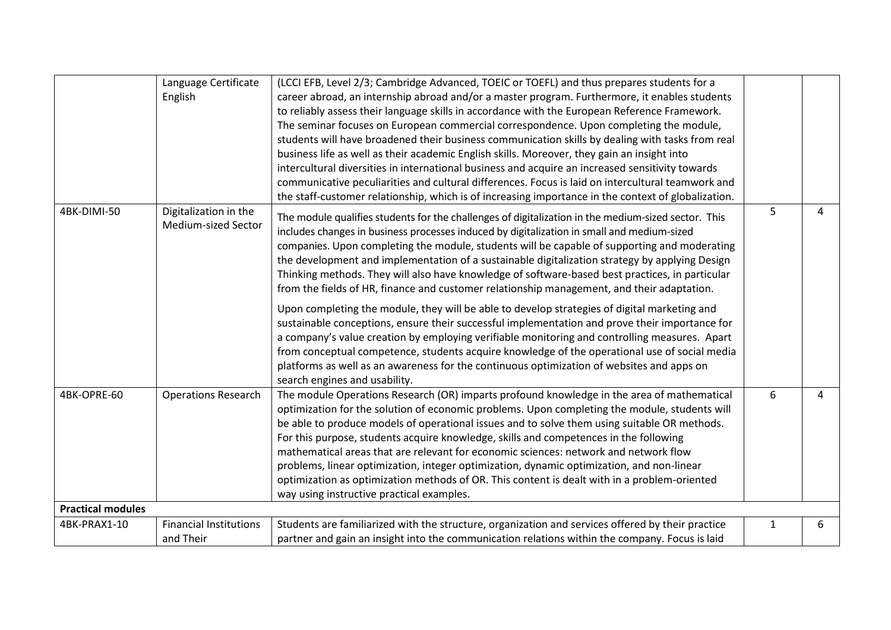|                          | Language Certificate                         | (LCCI EFB, Level 2/3; Cambridge Advanced, TOEIC or TOEFL) and thus prepares students for a                                                                                                                                                                                                                                                                                                                                                                                                                                                                                                                                                                                                                             |   |   |
|--------------------------|----------------------------------------------|------------------------------------------------------------------------------------------------------------------------------------------------------------------------------------------------------------------------------------------------------------------------------------------------------------------------------------------------------------------------------------------------------------------------------------------------------------------------------------------------------------------------------------------------------------------------------------------------------------------------------------------------------------------------------------------------------------------------|---|---|
|                          | English                                      | career abroad, an internship abroad and/or a master program. Furthermore, it enables students                                                                                                                                                                                                                                                                                                                                                                                                                                                                                                                                                                                                                          |   |   |
|                          |                                              | to reliably assess their language skills in accordance with the European Reference Framework.                                                                                                                                                                                                                                                                                                                                                                                                                                                                                                                                                                                                                          |   |   |
|                          |                                              | The seminar focuses on European commercial correspondence. Upon completing the module,                                                                                                                                                                                                                                                                                                                                                                                                                                                                                                                                                                                                                                 |   |   |
|                          |                                              | students will have broadened their business communication skills by dealing with tasks from real                                                                                                                                                                                                                                                                                                                                                                                                                                                                                                                                                                                                                       |   |   |
|                          |                                              | business life as well as their academic English skills. Moreover, they gain an insight into                                                                                                                                                                                                                                                                                                                                                                                                                                                                                                                                                                                                                            |   |   |
|                          |                                              | intercultural diversities in international business and acquire an increased sensitivity towards                                                                                                                                                                                                                                                                                                                                                                                                                                                                                                                                                                                                                       |   |   |
|                          |                                              | communicative peculiarities and cultural differences. Focus is laid on intercultural teamwork and                                                                                                                                                                                                                                                                                                                                                                                                                                                                                                                                                                                                                      |   |   |
|                          |                                              | the staff-customer relationship, which is of increasing importance in the context of globalization.                                                                                                                                                                                                                                                                                                                                                                                                                                                                                                                                                                                                                    |   |   |
| 4BK-DIMI-50              | Digitalization in the<br>Medium-sized Sector | The module qualifies students for the challenges of digitalization in the medium-sized sector. This<br>includes changes in business processes induced by digitalization in small and medium-sized<br>companies. Upon completing the module, students will be capable of supporting and moderating<br>the development and implementation of a sustainable digitalization strategy by applying Design<br>Thinking methods. They will also have knowledge of software-based best practices, in particular<br>from the fields of HR, finance and customer relationship management, and their adaptation.                                                                                                                   | 5 | 4 |
|                          |                                              | Upon completing the module, they will be able to develop strategies of digital marketing and<br>sustainable conceptions, ensure their successful implementation and prove their importance for<br>a company's value creation by employing verifiable monitoring and controlling measures. Apart<br>from conceptual competence, students acquire knowledge of the operational use of social media<br>platforms as well as an awareness for the continuous optimization of websites and apps on<br>search engines and usability.                                                                                                                                                                                         |   |   |
| 4BK-OPRE-60              | <b>Operations Research</b>                   | The module Operations Research (OR) imparts profound knowledge in the area of mathematical<br>optimization for the solution of economic problems. Upon completing the module, students will<br>be able to produce models of operational issues and to solve them using suitable OR methods.<br>For this purpose, students acquire knowledge, skills and competences in the following<br>mathematical areas that are relevant for economic sciences: network and network flow<br>problems, linear optimization, integer optimization, dynamic optimization, and non-linear<br>optimization as optimization methods of OR. This content is dealt with in a problem-oriented<br>way using instructive practical examples. | 6 | 4 |
| <b>Practical modules</b> |                                              |                                                                                                                                                                                                                                                                                                                                                                                                                                                                                                                                                                                                                                                                                                                        |   |   |
| 4BK-PRAX1-10             | <b>Financial Institutions</b>                | Students are familiarized with the structure, organization and services offered by their practice                                                                                                                                                                                                                                                                                                                                                                                                                                                                                                                                                                                                                      | 1 | 6 |
|                          | and Their                                    | partner and gain an insight into the communication relations within the company. Focus is laid                                                                                                                                                                                                                                                                                                                                                                                                                                                                                                                                                                                                                         |   |   |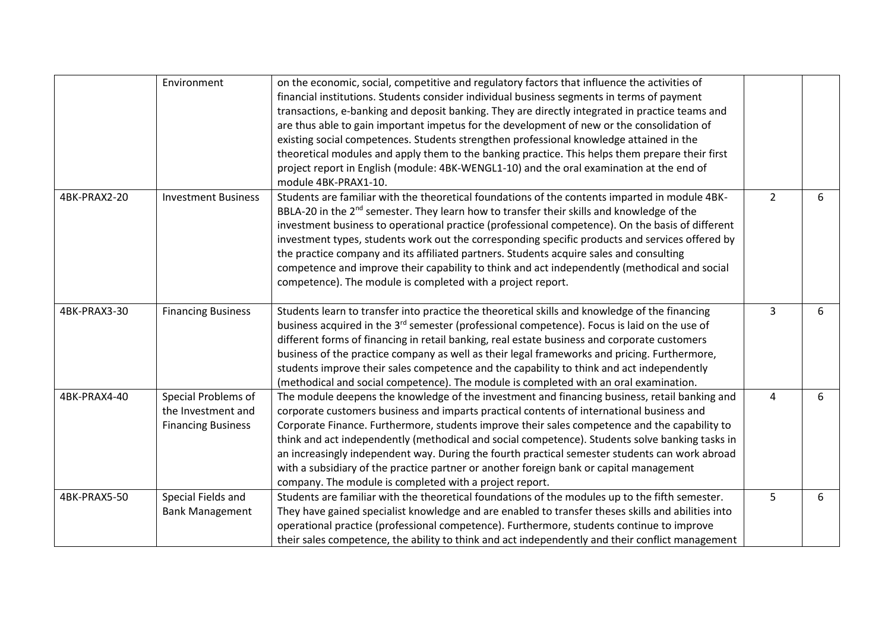|              | Environment                | on the economic, social, competitive and regulatory factors that influence the activities of             |                |   |
|--------------|----------------------------|----------------------------------------------------------------------------------------------------------|----------------|---|
|              |                            | financial institutions. Students consider individual business segments in terms of payment               |                |   |
|              |                            | transactions, e-banking and deposit banking. They are directly integrated in practice teams and          |                |   |
|              |                            | are thus able to gain important impetus for the development of new or the consolidation of               |                |   |
|              |                            | existing social competences. Students strengthen professional knowledge attained in the                  |                |   |
|              |                            | theoretical modules and apply them to the banking practice. This helps them prepare their first          |                |   |
|              |                            | project report in English (module: 4BK-WENGL1-10) and the oral examination at the end of                 |                |   |
|              |                            | module 4BK-PRAX1-10.                                                                                     |                |   |
| 4BK-PRAX2-20 | <b>Investment Business</b> | Students are familiar with the theoretical foundations of the contents imparted in module 4BK-           | $\overline{2}$ | 6 |
|              |                            | BBLA-20 in the 2 <sup>nd</sup> semester. They learn how to transfer their skills and knowledge of the    |                |   |
|              |                            | investment business to operational practice (professional competence). On the basis of different         |                |   |
|              |                            | investment types, students work out the corresponding specific products and services offered by          |                |   |
|              |                            | the practice company and its affiliated partners. Students acquire sales and consulting                  |                |   |
|              |                            | competence and improve their capability to think and act independently (methodical and social            |                |   |
|              |                            | competence). The module is completed with a project report.                                              |                |   |
| 4BK-PRAX3-30 |                            |                                                                                                          | 3              |   |
|              | <b>Financing Business</b>  | Students learn to transfer into practice the theoretical skills and knowledge of the financing           |                | 6 |
|              |                            | business acquired in the 3 <sup>rd</sup> semester (professional competence). Focus is laid on the use of |                |   |
|              |                            | different forms of financing in retail banking, real estate business and corporate customers             |                |   |
|              |                            | business of the practice company as well as their legal frameworks and pricing. Furthermore,             |                |   |
|              |                            | students improve their sales competence and the capability to think and act independently                |                |   |
| 4BK-PRAX4-40 |                            | (methodical and social competence). The module is completed with an oral examination.                    |                |   |
|              | Special Problems of        | The module deepens the knowledge of the investment and financing business, retail banking and            | 4              | 6 |
|              | the Investment and         | corporate customers business and imparts practical contents of international business and                |                |   |
|              | <b>Financing Business</b>  | Corporate Finance. Furthermore, students improve their sales competence and the capability to            |                |   |
|              |                            | think and act independently (methodical and social competence). Students solve banking tasks in          |                |   |
|              |                            | an increasingly independent way. During the fourth practical semester students can work abroad           |                |   |
|              |                            | with a subsidiary of the practice partner or another foreign bank or capital management                  |                |   |
|              |                            | company. The module is completed with a project report.                                                  |                |   |
| 4BK-PRAX5-50 | Special Fields and         | Students are familiar with the theoretical foundations of the modules up to the fifth semester.          | 5              | 6 |
|              | <b>Bank Management</b>     | They have gained specialist knowledge and are enabled to transfer theses skills and abilities into       |                |   |
|              |                            | operational practice (professional competence). Furthermore, students continue to improve                |                |   |
|              |                            | their sales competence, the ability to think and act independently and their conflict management         |                |   |